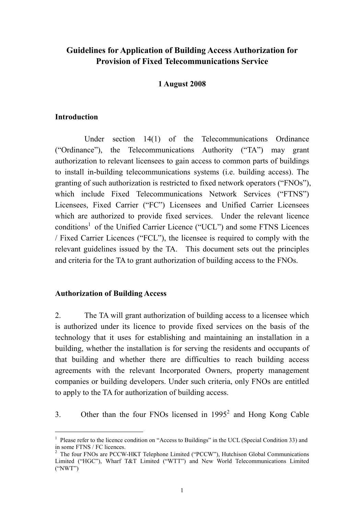# **Guidelines for Application of Building Access Authorization for Provision of Fixed Telecommunications Service**

### **1 August 2008**

### **Introduction**

 Under section 14(1) of the Telecommunications Ordinance ("Ordinance"), the Telecommunications Authority ("TA") may grant authorization to relevant licensees to gain access to common parts of buildings to install in-building telecommunications systems (i.e. building access). The granting of such authorization is restricted to fixed network operators ("FNOs"), which include Fixed Telecommunications Network Services ("FTNS") Licensees, Fixed Carrier ("FC") Licensees and Unified Carrier Licensees which are authorized to provide fixed services. Under the relevant licence conditions<sup>1</sup> of the Unified Carrier Licence ("UCL") and some FTNS Licences / Fixed Carrier Licences ("FCL"), the licensee is required to comply with the relevant guidelines issued by the TA. This document sets out the principles and criteria for the TA to grant authorization of building access to the FNOs.

# **Authorization of Building Access**

 $\overline{a}$ 

2. The TA will grant authorization of building access to a licensee which is authorized under its licence to provide fixed services on the basis of the technology that it uses for establishing and maintaining an installation in a building, whether the installation is for serving the residents and occupants of that building and whether there are difficulties to reach building access agreements with the relevant Incorporated Owners, property management companies or building developers. Under such criteria, only FNOs are entitled to apply to the TA for authorization of building access.

3. Other than the four FNOs licensed in  $1995<sup>2</sup>$  and Hong Kong Cable

<sup>&</sup>lt;sup>1</sup> Please refer to the licence condition on "Access to Buildings" in the UCL (Special Condition 33) and in some FTNS / FC licences.

 $2$  The four FNOs are PCCW-HKT Telephone Limited ("PCCW"), Hutchison Global Communications Limited ("HGC"), Wharf T&T Limited ("WTT") and New World Telecommunications Limited ("NWT")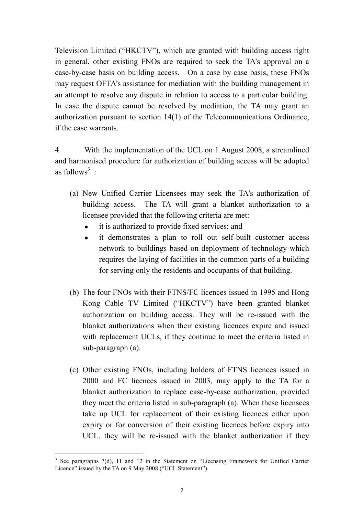Television Limited ("HKCTV"), which are granted with building access right in general, other existing FNOs are required to seek the TA's approval on a case-by-case basis on building access. On a case by case basis, these FNOs may request OFTA's assistance for mediation with the building management in an attempt to resolve any dispute in relation to access to a particular building. In case the dispute cannot be resolved by mediation, the TA may grant an authorization pursuant to section 14(1) of the Telecommunications Ordinance, if the case warrants.

4. With the implementation of the UCL on 1 August 2008, a streamlined and harmonised procedure for authorization of building access will be adopted as follows<sup>3</sup>:

- (a) New Unified Carrier Licensees may seek the TA's authorization of building access. The TA will grant a blanket authorization to a licensee provided that the following criteria are met:
	- it is authorized to provide fixed services; and
	- it demonstrates a plan to roll out self-built customer access network to buildings based on deployment of technology which requires the laying of facilities in the common parts of a building for serving only the residents and occupants of that building.
- (b) The four FNOs with their FTNS/FC licences issued in 1995 and Hong Kong Cable TV Limited ("HKCTV") have been granted blanket authorization on building access. They will be re-issued with the blanket authorizations when their existing licences expire and issued with replacement UCLs, if they continue to meet the criteria listed in sub-paragraph (a).
- (c) Other existing FNOs, including holders of FTNS licences issued in 2000 and FC licences issued in 2003, may apply to the TA for a blanket authorization to replace case-by-case authorization, provided they meet the criteria listed in sub-paragraph (a). When these licensees take up UCL for replacement of their existing licences either upon expiry or for conversion of their existing licences before expiry into UCL, they will be re-issued with the blanket authorization if they

 $\overline{a}$ 

<sup>&</sup>lt;sup>3</sup> See paragraphs 7(d), 11 and 12 in the Statement on "Licensing Framework for Unified Carrier Licence" issued by the TA on 9 May 2008 ("UCL Statement").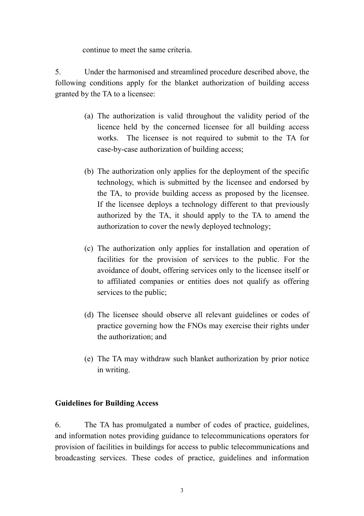continue to meet the same criteria.

5. Under the harmonised and streamlined procedure described above, the following conditions apply for the blanket authorization of building access granted by the TA to a licensee:

- (a) The authorization is valid throughout the validity period of the licence held by the concerned licensee for all building access works. The licensee is not required to submit to the TA for case-by-case authorization of building access;
- (b) The authorization only applies for the deployment of the specific technology, which is submitted by the licensee and endorsed by the TA, to provide building access as proposed by the licensee. If the licensee deploys a technology different to that previously authorized by the TA, it should apply to the TA to amend the authorization to cover the newly deployed technology;
- (c) The authorization only applies for installation and operation of facilities for the provision of services to the public. For the avoidance of doubt, offering services only to the licensee itself or to affiliated companies or entities does not qualify as offering services to the public;
- (d) The licensee should observe all relevant guidelines or codes of practice governing how the FNOs may exercise their rights under the authorization; and
- (e) The TA may withdraw such blanket authorization by prior notice in writing.

# **Guidelines for Building Access**

6. The TA has promulgated a number of codes of practice, guidelines, and information notes providing guidance to telecommunications operators for provision of facilities in buildings for access to public telecommunications and broadcasting services. These codes of practice, guidelines and information